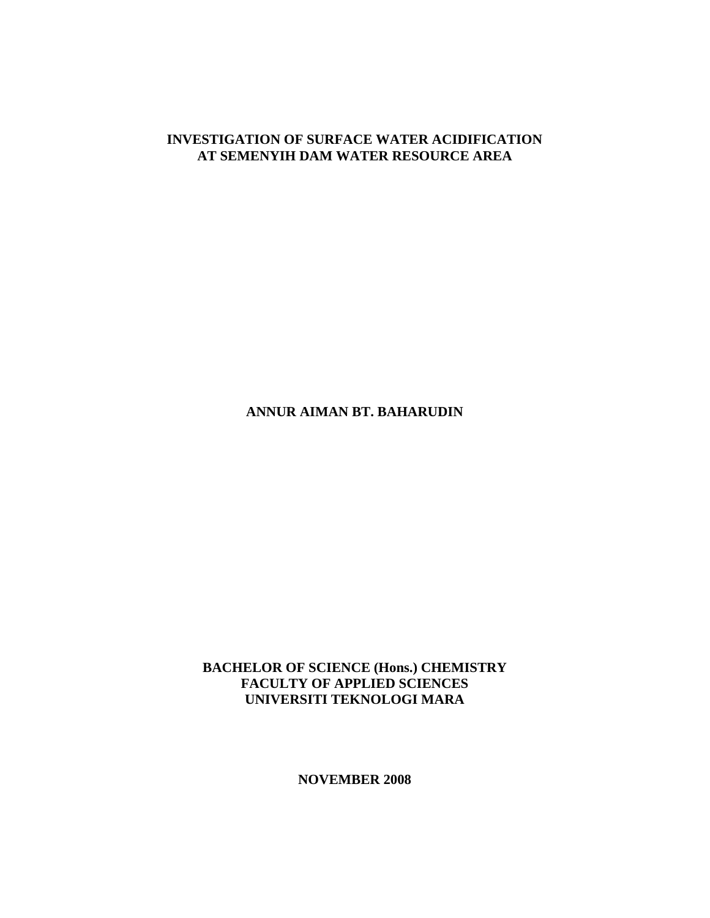### **INVESTIGATION OF SURFACE WATER ACIDIFICATION AT SEMENYIH DAM WATER RESOURCE AREA**

**ANNUR AIMAN BT. BAHARUDIN** 

**BACHELOR OF SCIENCE (Hons.) CHEMISTRY FACULTY OF APPLIED SCIENCES UNIVERSITI TEKNOLOGI MARA** 

**NOVEMBER 2008**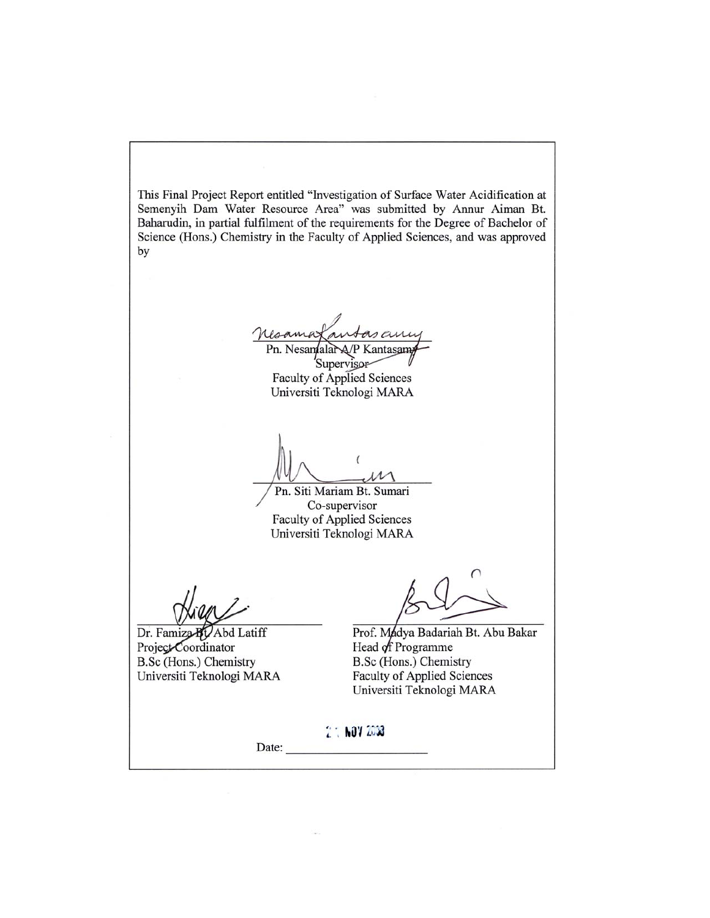This Final Project Report entitled "Investigation of Surface Water Acidification at Semenyih Dam Water Resource Area" was submitted by Annur Aiman Bt. Baharudin, in partial fulfilment of the requirements for the Degree of Bachelor of Science (Hons.) Chemistry in the Faculty of Applied Sciences, and was approved by

asany Maama Pn. Nesandalar A/P Kantasam

Supervisor Faculty of Applied Sciences Universiti Teknologi MARA

Pn. Siti Mariam Bt. Sumari Co-supervisor **Faculty of Applied Sciences** Universiti Teknologi MARA

Dr. Famiza BLAbd Latiff Project Coordinator B.Sc (Hons.) Chemistry Universiti Teknologi MARA

Prof. Madya Badariah Bt. Abu Bakar Head of Programme B.Sc (Hons.) Chemistry **Faculty of Applied Sciences** Universiti Teknologi MARA

2 : NOV 2008

Date: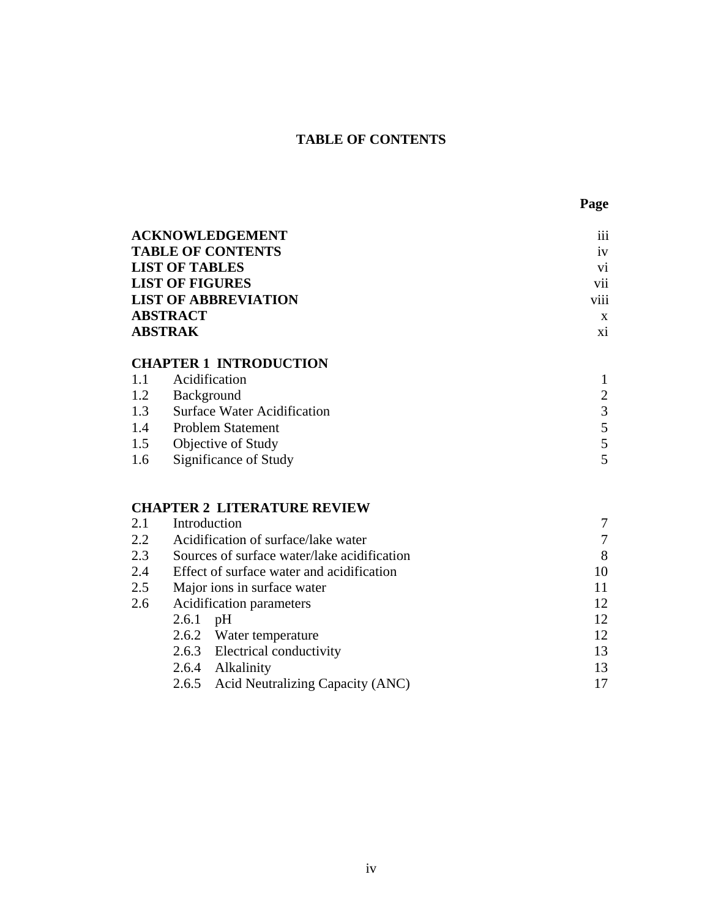## **TABLE OF CONTENTS**

|                | <b>ACKNOWLEDGEMENT</b>        | $\cdots$<br>111              |
|----------------|-------------------------------|------------------------------|
|                | <b>TABLE OF CONTENTS</b>      | 1V                           |
|                | <b>LIST OF TABLES</b>         | vi                           |
|                | <b>LIST OF FIGURES</b>        | vii                          |
|                | <b>LIST OF ABBREVIATION</b>   | $\cdots$<br>V <sub>111</sub> |
|                | <b>ABSTRACT</b>               | X                            |
|                | <b>ABSTRAK</b>                | X1                           |
|                | <b>CHAPTER 1 INTRODUCTION</b> |                              |
| 1.1            | Acidification                 |                              |
| 1.2            | Background                    | $\overline{2}$               |
| 1 <sup>3</sup> | Surface Water Acidification   | $\mathcal{R}$                |

| $\cdot$ . | Duriace Watch I relativement |  |
|-----------|------------------------------|--|
|           | 1.4 Problem Statement        |  |
|           | 1.5 Objective of Study       |  |
|           | 1.6 Significance of Study    |  |

# **CHAPTER 2 LITERATURE REVIEW**

| 2.1 | Introduction                                |    |
|-----|---------------------------------------------|----|
| 2.2 | Acidification of surface/lake water         |    |
| 2.3 | Sources of surface water/lake acidification | 8  |
| 2.4 | Effect of surface water and acidification   | 10 |
| 2.5 | Major ions in surface water                 | 11 |
| 2.6 | Acidification parameters                    | 12 |
|     | 2.6.1<br>pH                                 | 12 |
|     | 2.6.2 Water temperature                     | 12 |
|     | 2.6.3 Electrical conductivity               | 13 |
|     | Alkalinity<br>2.6.4                         | 13 |
|     | 2.6.5 Acid Neutralizing Capacity (ANC)      |    |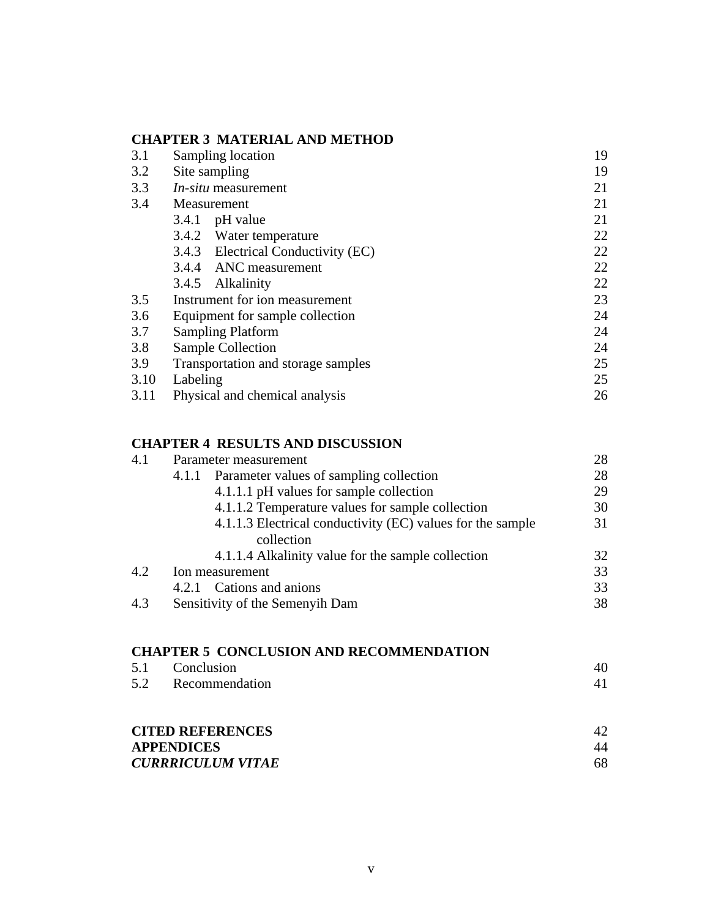#### **CHAPTER 3 MATERIAL AND METHOD**

| 3.1  | Sampling location                  | 19 |
|------|------------------------------------|----|
| 3.2  | Site sampling                      | 19 |
| 3.3  | <i>In-situ</i> measurement         | 21 |
| 3.4  | Measurement                        | 21 |
|      | $3.4.1$ pH value                   | 21 |
|      | 3.4.2 Water temperature            | 22 |
|      | 3.4.3 Electrical Conductivity (EC) | 22 |
|      | 3.4.4 ANC measurement              | 22 |
|      | 3.4.5 Alkalinity                   | 22 |
| 3.5  | Instrument for ion measurement     | 23 |
| 3.6  | Equipment for sample collection    | 24 |
| 3.7  | <b>Sampling Platform</b>           | 24 |
| 3.8  | <b>Sample Collection</b>           | 24 |
| 3.9  | Transportation and storage samples | 25 |
| 3.10 | Labeling                           | 25 |
| 3.11 | Physical and chemical analysis     | 26 |

# **CHAPTER 4 RESULTS AND DISCUSSION**

| 4.1 | Parameter measurement                                      | 28 |
|-----|------------------------------------------------------------|----|
|     | Parameter values of sampling collection<br>4.1.1           | 28 |
|     | 4.1.1.1 pH values for sample collection                    | 29 |
|     | 4.1.1.2 Temperature values for sample collection           | 30 |
|     | 4.1.1.3 Electrical conductivity (EC) values for the sample | 31 |
|     | collection                                                 |    |
|     | 4.1.1.4 Alkalinity value for the sample collection         | 32 |
| 4.2 | Ion measurement                                            | 33 |
|     | 4.2.1 Cations and anions                                   | 33 |
| 4.3 | Sensitivity of the Semenyih Dam                            | 38 |
|     |                                                            |    |

## **CHAPTER 5 CONCLUSION AND RECOMMENDATION**

|                         | 5.1 Conclusion     | 40 |
|-------------------------|--------------------|----|
|                         | 5.2 Recommendation |    |
|                         |                    |    |
| <b>CITED REFERENCES</b> |                    |    |

| <b>APPENDICES</b>        |    |
|--------------------------|----|
| <b>CURRRICULUM VITAE</b> | 68 |